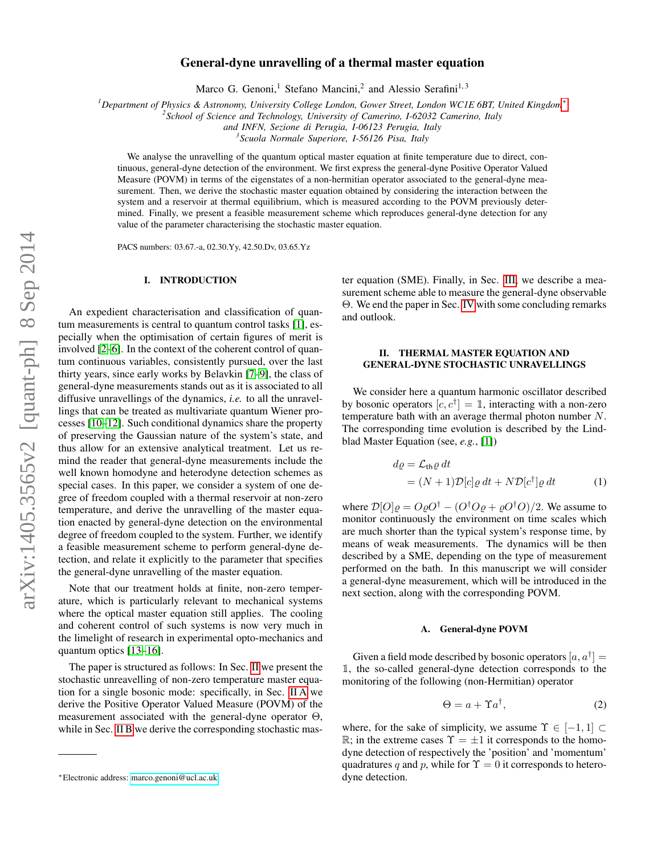# General-dyne unravelling of a thermal master equation

Marco G. Genoni,<sup>1</sup> Stefano Mancini,<sup>2</sup> and Alessio Serafini<sup>1,3</sup>

*<sup>1</sup>Department of Physics & Astronomy, University College London, Gower Street, London WC1E 6BT, United Kingdom*[∗](#page-0-0)

*2 School of Science and Technology, University of Camerino, I-62032 Camerino, Italy*

*and INFN, Sezione di Perugia, I-06123 Perugia, Italy*

*3 Scuola Normale Superiore, I-56126 Pisa, Italy*

We analyse the unravelling of the quantum optical master equation at finite temperature due to direct, continuous, general-dyne detection of the environment. We first express the general-dyne Positive Operator Valued Measure (POVM) in terms of the eigenstates of a non-hermitian operator associated to the general-dyne measurement. Then, we derive the stochastic master equation obtained by considering the interaction between the system and a reservoir at thermal equilibrium, which is measured according to the POVM previously determined. Finally, we present a feasible measurement scheme which reproduces general-dyne detection for any value of the parameter characterising the stochastic master equation.

PACS numbers: 03.67.-a, 02.30.Yy, 42.50.Dv, 03.65.Yz

## I. INTRODUCTION

An expedient characterisation and classification of quantum measurements is central to quantum control tasks [\[1\]](#page-5-0), especially when the optimisation of certain figures of merit is involved [\[2–](#page-5-1)[6\]](#page-5-2). In the context of the coherent control of quantum continuous variables, consistently pursued, over the last thirty years, since early works by Belavkin [\[7–](#page-5-3)[9\]](#page-5-4), the class of general-dyne measurements stands out as it is associated to all diffusive unravellings of the dynamics, *i.e.* to all the unravellings that can be treated as multivariate quantum Wiener processes [\[10](#page-5-5)[–12\]](#page-5-6). Such conditional dynamics share the property of preserving the Gaussian nature of the system's state, and thus allow for an extensive analytical treatment. Let us remind the reader that general-dyne measurements include the well known homodyne and heterodyne detection schemes as special cases. In this paper, we consider a system of one degree of freedom coupled with a thermal reservoir at non-zero temperature, and derive the unravelling of the master equation enacted by general-dyne detection on the environmental degree of freedom coupled to the system. Further, we identify a feasible measurement scheme to perform general-dyne detection, and relate it explicitly to the parameter that specifies the general-dyne unravelling of the master equation.

Note that our treatment holds at finite, non-zero temperature, which is particularly relevant to mechanical systems where the optical master equation still applies. The cooling and coherent control of such systems is now very much in the limelight of research in experimental opto-mechanics and quantum optics [\[13–](#page-5-7)[16\]](#page-5-8).

The paper is structured as follows: In Sec. [II](#page-0-1) we present the stochastic unreavelling of non-zero temperature master equation for a single bosonic mode: specifically, in Sec. [II A](#page-0-2) we derive the Positive Operator Valued Measure (POVM) of the measurement associated with the general-dyne operator  $\Theta$ , while in Sec. [II B](#page-1-0) we derive the corresponding stochastic master equation (SME). Finally, in Sec. [III,](#page-3-0) we describe a measurement scheme able to measure the general-dyne observable Θ. We end the paper in Sec. [IV](#page-4-0) with some concluding remarks and outlook.

### <span id="page-0-1"></span>II. THERMAL MASTER EQUATION AND GENERAL-DYNE STOCHASTIC UNRAVELLINGS

We consider here a quantum harmonic oscillator described by bosonic operators  $[c, c^{\dagger}] = \mathbb{1}$ , interacting with a non-zero temperature bath with an average thermal photon number N. The corresponding time evolution is described by the Lindblad Master Equation (see, *e.g.*, [\[1\]](#page-5-0))

<span id="page-0-3"></span>
$$
d\varrho = \mathcal{L}_{\text{th}}\varrho dt
$$
  
=  $(N+1)\mathcal{D}[c]\varrho dt + N\mathcal{D}[c^{\dagger}]\varrho dt$  (1)

where  $\mathcal{D}[O]\rho = O\rho O^{\dagger} - (O^{\dagger}O\rho + \rho O^{\dagger}O)/2$ . We assume to monitor continuously the environment on time scales which are much shorter than the typical system's response time, by means of weak measurements. The dynamics will be then described by a SME, depending on the type of measurement performed on the bath. In this manuscript we will consider a general-dyne measurement, which will be introduced in the next section, along with the corresponding POVM.

#### <span id="page-0-2"></span>A. General-dyne POVM

Given a field mode described by bosonic operators  $[a, a^{\dagger}] =$ 1, the so-called general-dyne detection corresponds to the monitoring of the following (non-Hermitian) operator

<span id="page-0-4"></span>
$$
\Theta = a + \Upsilon a^{\dagger}, \tag{2}
$$

where, for the sake of simplicity, we assume  $\Upsilon \in [-1, 1] \subset$ R; in the extreme cases  $\Upsilon = \pm 1$  it corresponds to the homodyne detection of respectively the 'position' and 'momentum' quadratures q and p, while for  $\Upsilon = 0$  it corresponds to heterodyne detection.

<span id="page-0-0"></span><sup>∗</sup>Electronic address: [marco.genoni@ucl.ac.uk](mailto:marco.genoni@ucl.ac.uk)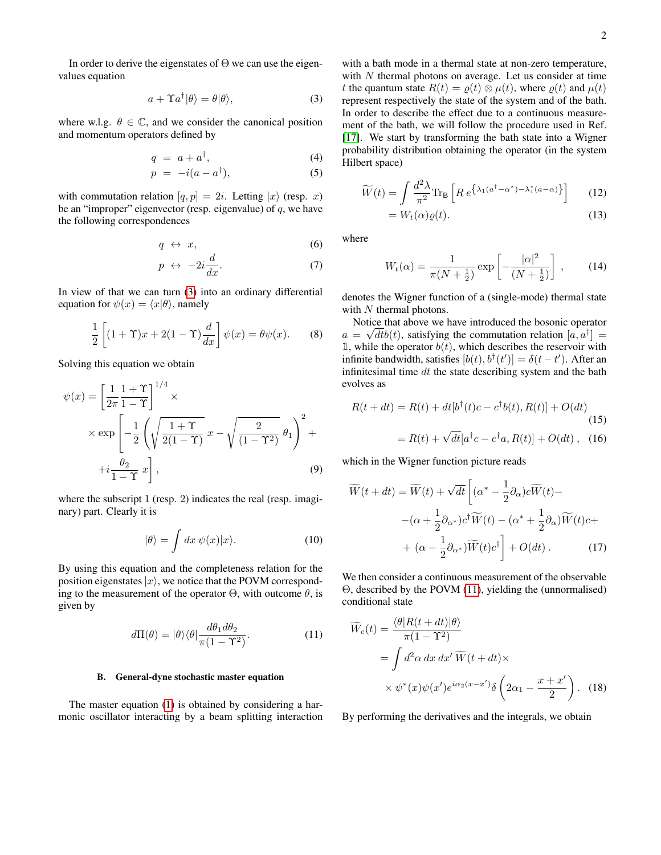In order to derive the eigenstates of  $\Theta$  we can use the eigenvalues equation

<span id="page-1-1"></span>
$$
a + \Upsilon a^{\dagger} |\theta \rangle = \theta |\theta \rangle, \tag{3}
$$

where w.l.g.  $\theta \in \mathbb{C}$ , and we consider the canonical position and momentum operators defined by

$$
q = a + a^{\dagger}, \tag{4}
$$

$$
p = -i(a - a^{\dagger}), \tag{5}
$$

with commutation relation  $[q, p] = 2i$ . Letting  $|x\rangle$  (resp. x) be an "improper" eigenvector (resp. eigenvalue) of  $q$ , we have the following correspondences

$$
q \leftrightarrow x,\tag{6}
$$

$$
p \leftrightarrow -2i\frac{d}{dx}.\tag{7}
$$

In view of that we can turn [\(3\)](#page-1-1) into an ordinary differential equation for  $\psi(x) = \langle x|\theta \rangle$ , namely

$$
\frac{1}{2}\left[ (1+\Upsilon)x + 2(1-\Upsilon)\frac{d}{dx} \right] \psi(x) = \theta \psi(x). \tag{8}
$$

Solving this equation we obtain

$$
\psi(x) = \left[\frac{1}{2\pi} \frac{1+\Upsilon}{1-\Upsilon}\right]^{1/4} \times
$$
  
 
$$
\times \exp\left[-\frac{1}{2}\left(\sqrt{\frac{1+\Upsilon}{2(1-\Upsilon)}} x - \sqrt{\frac{2}{(1-\Upsilon^2)}} \theta_1\right)^2 + \right.
$$
  

$$
+i\frac{\theta_2}{1-\Upsilon} x\right],
$$
 (9)

where the subscript 1 (resp. 2) indicates the real (resp. imaginary) part. Clearly it is

$$
|\theta\rangle = \int dx \, \psi(x)|x\rangle. \tag{10}
$$

By using this equation and the completeness relation for the position eigenstates  $|x\rangle$ , we notice that the POVM corresponding to the measurement of the operator  $\Theta$ , with outcome  $\theta$ , is given by

<span id="page-1-2"></span>
$$
d\Pi(\theta) = |\theta\rangle\langle\theta|\frac{d\theta_1 d\theta_2}{\pi(1-\Upsilon^2)}.
$$
 (11)

### <span id="page-1-0"></span>B. General-dyne stochastic master equation

The master equation [\(1\)](#page-0-3) is obtained by considering a harmonic oscillator interacting by a beam splitting interaction with a bath mode in a thermal state at non-zero temperature, with  $N$  thermal photons on average. Let us consider at time t the quantum state  $R(t) = \rho(t) \otimes \mu(t)$ , where  $\rho(t)$  and  $\mu(t)$ represent respectively the state of the system and of the bath. In order to describe the effect due to a continuous measurement of the bath, we will follow the procedure used in Ref. [\[17\]](#page-5-9). We start by transforming the bath state into a Wigner probability distribution obtaining the operator (in the system Hilbert space)

$$
\widetilde{W}(t) = \int \frac{d^2 \lambda}{\pi^2} \text{Tr}_{\mathsf{B}} \left[ R e^{\left\{ \lambda_1 (a^\dagger - \alpha^*) - \lambda_1^* (a - \alpha) \right\}} \right] \tag{12}
$$

$$
=W_t(\alpha)\varrho(t). \tag{13}
$$

where

$$
W_t(\alpha) = \frac{1}{\pi (N + \frac{1}{2})} \exp \left[ -\frac{|\alpha|^2}{(N + \frac{1}{2})} \right],
$$
 (14)

denotes the Wigner function of a (single-mode) thermal state with  $N$  thermal photons.

Notice that above we have introduced the bosonic operator  $a = \sqrt{dt}b(t)$ , satisfying the commutation relation  $[a, a^{\dagger}] =$ 1, while the operator  $b(t)$ , which describes the reservoir with infinite bandwidth, satisfies  $[b(t), b^{\dagger}(t')] = \delta(t - t')$ . After an infinitesimal time  $dt$  the state describing system and the bath evolves as

$$
R(t + dt) = R(t) + dt[b^{\dagger}(t)c - c^{\dagger}b(t), R(t)] + O(dt)
$$
\n
$$
= R(t) + \sqrt{dt}[a^{\dagger}c - c^{\dagger}a, R(t)] + O(dt), \quad (16)
$$

which in the Wigner function picture reads

$$
\widetilde{W}(t+dt) = \widetilde{W}(t) + \sqrt{dt} \left[ (\alpha^* - \frac{1}{2} \partial_\alpha) c \widetilde{W}(t) - \right. \\
\left. - (\alpha + \frac{1}{2} \partial_{\alpha^*}) c^{\dagger} \widetilde{W}(t) - (\alpha^* + \frac{1}{2} \partial_\alpha) \widetilde{W}(t) c + \right. \\
\left. + (\alpha - \frac{1}{2} \partial_{\alpha^*}) \widetilde{W}(t) c^{\dagger} \right] + O(dt) . \tag{17}
$$

We then consider a continuous measurement of the observable Θ, described by the POVM [\(11\)](#page-1-2), yielding the (unnormalised) conditional state

$$
\widetilde{W}_c(t) = \frac{\langle \theta | R(t+dt) | \theta \rangle}{\pi (1 - \Upsilon^2)}
$$
\n
$$
= \int d^2 \alpha \, dx \, dx' \, \widetilde{W}(t+dt) \times
$$
\n
$$
\times \psi^*(x) \psi(x') e^{i\alpha_2 (x-x')} \delta\left(2\alpha_1 - \frac{x+x'}{2}\right). \tag{18}
$$

By performing the derivatives and the integrals, we obtain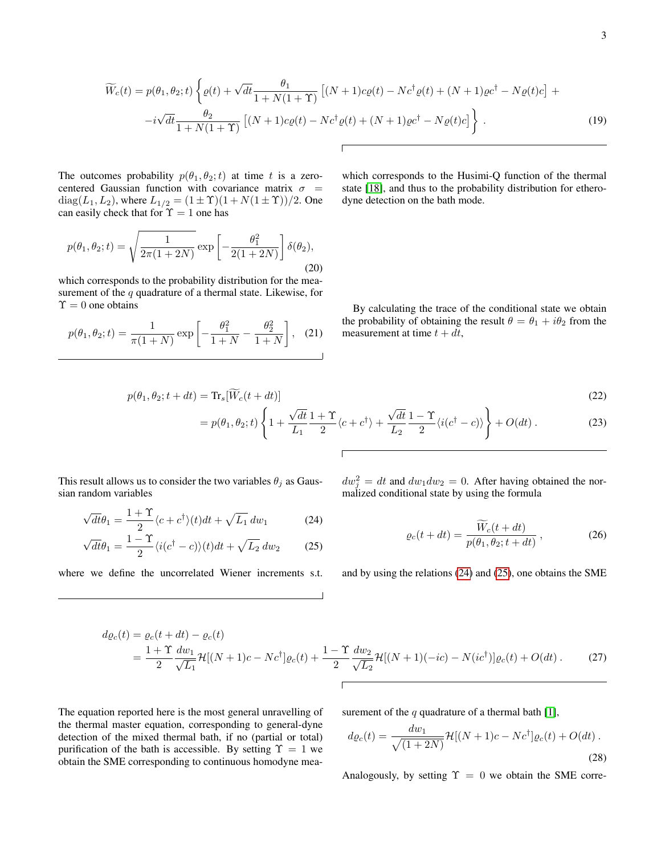$$
\widetilde{W}_c(t) = p(\theta_1, \theta_2; t) \left\{ \varrho(t) + \sqrt{dt} \frac{\theta_1}{1 + N(1 + \Upsilon)} \left[ (N + 1)c\varrho(t) - N c^{\dagger} \varrho(t) + (N + 1)\varrho c^{\dagger} - N\varrho(t)c \right] + \right. \\ \left. - i\sqrt{dt} \frac{\theta_2}{1 + N(1 + \Upsilon)} \left[ (N + 1)c\varrho(t) - N c^{\dagger} \varrho(t) + (N + 1)\varrho c^{\dagger} - N\varrho(t)c \right] \right\} \,. \tag{19}
$$

The outcomes probability  $p(\theta_1, \theta_2; t)$  at time t is a zerocentered Gaussian function with covariance matrix  $\sigma$  = diag( $L_1, L_2$ ), where  $L_{1/2} = (1 \pm \Upsilon)(1 + N(1 \pm \Upsilon))/2$ . One can easily check that for  $\Upsilon = 1$  one has

$$
p(\theta_1, \theta_2; t) = \sqrt{\frac{1}{2\pi(1+2N)}} \exp\left[-\frac{\theta_1^2}{2(1+2N)}\right] \delta(\theta_2),
$$
\n(20)

which corresponds to the probability distribution for the measurement of the  $q$  quadrature of a thermal state. Likewise, for  $\Upsilon = 0$  one obtains

$$
p(\theta_1, \theta_2; t) = \frac{1}{\pi (1+N)} \exp\left[ -\frac{\theta_1^2}{1+N} - \frac{\theta_2^2}{1+N} \right], \quad (21)
$$

which corresponds to the Husimi-Q function of the thermal state [\[18\]](#page-5-10), and thus to the probability distribution for etherodyne detection on the bath mode.

By calculating the trace of the conditional state we obtain the probability of obtaining the result  $\theta = \theta_1 + i\theta_2$  from the measurement at time  $t + dt$ ,

$$
p(\theta_1, \theta_2; t + dt) = \text{Tr}_s[\widetilde{W}_c(t + dt)]
$$
\n(22)

$$
= p(\theta_1, \theta_2; t) \left\{ 1 + \frac{\sqrt{dt}}{L_1} \frac{1 + \Upsilon}{2} \langle c + c^{\dagger} \rangle + \frac{\sqrt{dt}}{L_2} \frac{1 - \Upsilon}{2} \langle i(c^{\dagger} - c) \rangle \right\} + O(dt) \,. \tag{23}
$$

This result allows us to consider the two variables  $\theta_i$  as Gaussian random variables

$$
\sqrt{dt}\theta_1 = \frac{1+\Upsilon}{2}\langle c+c^\dagger\rangle(t)dt + \sqrt{L_1}\,dw_1\tag{24}
$$

$$
\sqrt{dt}\theta_1 = \frac{1-\Upsilon}{2}\langle i(c^\dagger - c)\rangle(t)dt + \sqrt{L_2} \, dw_2 \tag{25}
$$

where we define the uncorrelated Wiener increments s.t.

<span id="page-2-0"></span>
$$
dw_j^2 = dt
$$
 and  $dw_1 dw_2 = 0$ . After having obtained the normalized conditional state by using the formula

$$
\varrho_c(t + dt) = \frac{W_c(t + dt)}{p(\theta_1, \theta_2; t + dt)},
$$
\n(26)

<span id="page-2-1"></span>and by using the relations [\(24\)](#page-2-0) and [\(25\)](#page-2-1), one obtains the SME

$$
d\varrho_c(t) = \varrho_c(t + dt) - \varrho_c(t)
$$
  
=  $\frac{1 + \Upsilon}{2} \frac{dw_1}{\sqrt{L_1}} \mathcal{H}[(N+1)c - Nc^{\dagger}]\varrho_c(t) + \frac{1 - \Upsilon}{2} \frac{dw_2}{\sqrt{L_2}} \mathcal{H}[(N+1)(-ic) - N(ic^{\dagger})]\varrho_c(t) + O(dt).$  (27)

The equation reported here is the most general unravelling of the thermal master equation, corresponding to general-dyne detection of the mixed thermal bath, if no (partial or total) purification of the bath is accessible. By setting  $\Upsilon = 1$  we obtain the SME corresponding to continuous homodyne measurement of the  $q$  quadrature of a thermal bath [\[1\]](#page-5-0),

$$
d\varrho_c(t) = \frac{dw_1}{\sqrt{(1+2N)}} \mathcal{H}[(N+1)c - Nc^{\dagger}] \varrho_c(t) + O(dt).
$$
\n(28)

Analogously, by setting  $\Upsilon = 0$  we obtain the SME corre-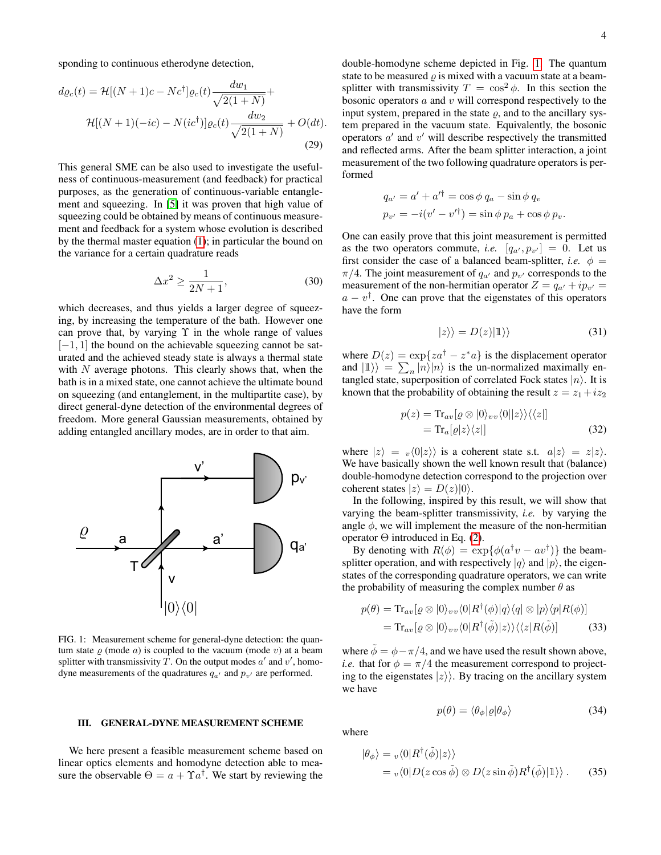sponding to continuous etherodyne detection,

$$
d\varrho_c(t) = \mathcal{H}[(N+1)c - Nc^{\dagger}] \varrho_c(t) \frac{dw_1}{\sqrt{2(1+N)}} +
$$
  

$$
\mathcal{H}[(N+1)(-ic) - N(ic^{\dagger})] \varrho_c(t) \frac{dw_2}{\sqrt{2(1+N)}} + O(dt).
$$
  
(29)

This general SME can be also used to investigate the usefulness of continuous-measurement (and feedback) for practical purposes, as the generation of continuous-variable entanglement and squeezing. In [\[5\]](#page-5-11) it was proven that high value of squeezing could be obtained by means of continuous measurement and feedback for a system whose evolution is described by the thermal master equation [\(1\)](#page-0-3); in particular the bound on the variance for a certain quadrature reads

$$
\Delta x^2 \ge \frac{1}{2N+1},\tag{30}
$$

which decreases, and thus yields a larger degree of squeezing, by increasing the temperature of the bath. However one can prove that, by varying  $\Upsilon$  in the whole range of values  $[-1, 1]$  the bound on the achievable squeezing cannot be saturated and the achieved steady state is always a thermal state with  $N$  average photons. This clearly shows that, when the bath is in a mixed state, one cannot achieve the ultimate bound on squeezing (and entanglement, in the multipartite case), by direct general-dyne detection of the environmental degrees of freedom. More general Gaussian measurements, obtained by adding entangled ancillary modes, are in order to that aim.



<span id="page-3-1"></span>FIG. 1: Measurement scheme for general-dyne detection: the quantum state  $\rho$  (mode  $a$ ) is coupled to the vacuum (mode v) at a beam splitter with transmissivity  $\overline{T}$ . On the output modes  $a'$  and  $v'$ , homodyne measurements of the quadratures  $q_{a'}$  and  $p_{v'}$  are performed.

#### <span id="page-3-0"></span>III. GENERAL-DYNE MEASUREMENT SCHEME

We here present a feasible measurement scheme based on linear optics elements and homodyne detection able to measure the observable  $\Theta = a + \Upsilon a^{\dagger}$ . We start by reviewing the

double-homodyne scheme depicted in Fig. [1.](#page-3-1) The quantum state to be measured  $\rho$  is mixed with a vacuum state at a beamsplitter with transmissivity  $T = \cos^2 \phi$ . In this section the bosonic operators  $a$  and  $v$  will correspond respectively to the input system, prepared in the state  $\rho$ , and to the ancillary system prepared in the vacuum state. Equivalently, the bosonic operators  $a'$  and  $v'$  will describe respectively the transmitted and reflected arms. After the beam splitter interaction, a joint measurement of the two following quadrature operators is performed

$$
q_{a'} = a' + a'^{\dagger} = \cos \phi \, q_a - \sin \phi \, q_v
$$
  
\n
$$
p_{v'} = -i(v' - v'^{\dagger}) = \sin \phi \, p_a + \cos \phi \, p_v.
$$

One can easily prove that this joint measurement is permitted as the two operators commute, *i.e.*  $[q_{a'}, p_{v'}] = 0$ . Let us first consider the case of a balanced beam-splitter, *i.e.*  $\phi$  =  $\pi/4$ . The joint measurement of  $q_{a'}$  and  $p_{v'}$  corresponds to the measurement of the non-hermitian operator  $Z = q_{a'} + ip_{v'} =$  $a - v^{\dagger}$ . One can prove that the eigenstates of this operators have the form

$$
|z\rangle\rangle = D(z)|1\rangle\rangle \tag{31}
$$

where  $D(z) = \exp\{z a^{\dagger} - z^* a\}$  is the displacement operator and  $|1\rangle$  =  $\sum_{n} |n\rangle |n\rangle$  is the un-normalized maximally entangled state, superposition of correlated Fock states  $|n\rangle$ . It is known that the probability of obtaining the result  $z = z_1 + i z_2$ 

$$
p(z) = \text{Tr}_{av}[\varrho \otimes |0\rangle_{vv}\langle 0||z\rangle\rangle\langle\langle z|]
$$
  
=  $\text{Tr}_{a}[\varrho|z\rangle\langle z|]$  (32)

where  $|z\rangle = v\langle 0|z\rangle$  is a coherent state s.t.  $a|z\rangle = z|z\rangle$ . We have basically shown the well known result that (balance) double-homodyne detection correspond to the projection over coherent states  $|z\rangle = D(z)|0\rangle$ .

In the following, inspired by this result, we will show that varying the beam-splitter transmissivity, *i.e.* by varying the angle  $\phi$ , we will implement the measure of the non-hermitian operator Θ introduced in Eq. [\(2\)](#page-0-4).

By denoting with  $R(\phi) = \exp{\{\phi(a^{\dagger}v - av^{\dagger})\}}$  the beamsplitter operation, and with respectively  $|q\rangle$  and  $|p\rangle$ , the eigenstates of the corresponding quadrature operators, we can write the probability of measuring the complex number  $\theta$  as

$$
p(\theta) = \text{Tr}_{av}[\varrho \otimes |0\rangle_{vv}\langle 0|R^{\dagger}(\phi)|q\rangle\langle q| \otimes |p\rangle\langle p|R(\phi)]
$$
  
= 
$$
\text{Tr}_{av}[\varrho \otimes |0\rangle_{vv}\langle 0|R^{\dagger}(\tilde{\phi})|z\rangle\rangle\langle\langle z|R(\tilde{\phi})]
$$
(33)

where  $\tilde{\phi} = \phi - \pi/4$ , and we have used the result shown above, *i.e.* that for  $\phi = \pi/4$  the measurement correspond to projecting to the eigenstates  $|z\rangle$ . By tracing on the ancillary system we have

<span id="page-3-2"></span>
$$
p(\theta) = \langle \theta_{\phi} | \varrho | \theta_{\phi} \rangle \tag{34}
$$

where

$$
\begin{aligned} |\theta_{\phi}\rangle &= v \langle 0 | R^{\dagger}(\tilde{\phi}) | z \rangle \rangle \\ &= v \langle 0 | D(z \cos \tilde{\phi}) \otimes D(z \sin \tilde{\phi}) R^{\dagger}(\tilde{\phi}) | 1 \rangle \rangle \,. \end{aligned} \tag{35}
$$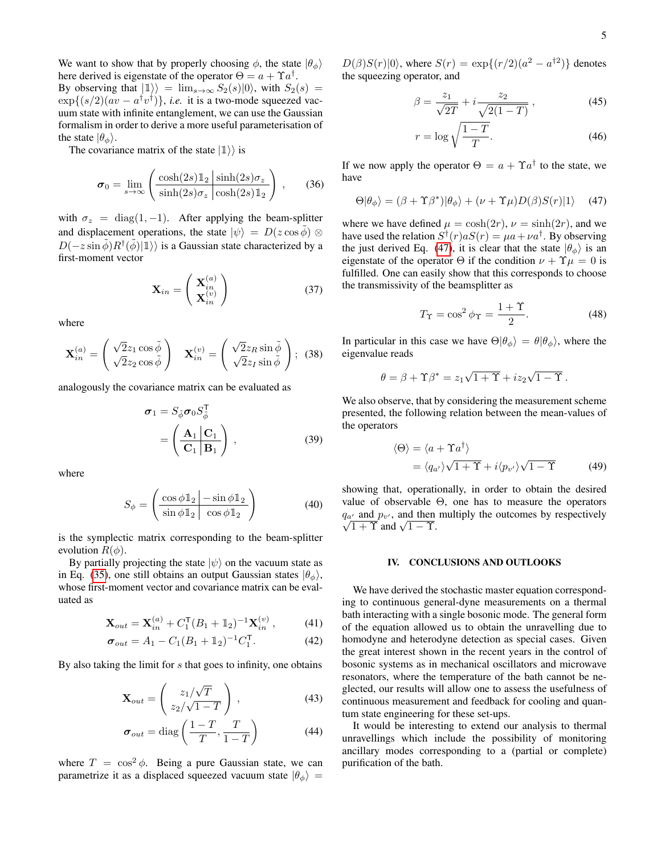We want to show that by properly choosing  $\phi$ , the state  $|\theta_{\phi}\rangle$ here derived is eigenstate of the operator  $\Theta = a + \Upsilon a^{\dagger}$ . By observing that  $|1\rangle = \lim_{s\to\infty} S_2(s)|0\rangle$ , with  $S_2(s) =$  $\exp\{(s/2)(av - a^{\dagger}v^{\dagger})\}\$ , *i.e.* it is a two-mode squeezed vacuum state with infinite entanglement, we can use the Gaussian formalism in order to derive a more useful parameterisation of the state  $|\theta_{\phi}\rangle$ .

The covariance matrix of the state  $|1\rangle$  is

$$
\boldsymbol{\sigma}_0 = \lim_{s \to \infty} \left( \frac{\cosh(2s) \mathbb{1}_2 \, \left| \sinh(2s) \sigma_z \right|}{\sinh(2s) \sigma_z \, \left| \cosh(2s) \mathbb{1}_2} \right) , \qquad (36)
$$

with  $\sigma_z = \text{diag}(1, -1)$ . After applying the beam-splitter and displacement operations, the state  $|\psi\rangle = D(z \cos \tilde{\phi}) \otimes$  $D(-z \sin \tilde{\phi})R^{\dagger}(\tilde{\phi})|\mathbb{1}\rangle$  is a Gaussian state characterized by a first-moment vector

$$
\mathbf{X}_{in} = \begin{pmatrix} \mathbf{X}_{in}^{(a)} \\ \mathbf{X}_{in}^{(v)} \end{pmatrix}
$$
 (37)

where

$$
\mathbf{X}_{in}^{(a)} = \begin{pmatrix} \sqrt{2}z_1 \cos \tilde{\phi} \\ \sqrt{2}z_2 \cos \tilde{\phi} \end{pmatrix} \quad \mathbf{X}_{in}^{(v)} = \begin{pmatrix} \sqrt{2}z_R \sin \tilde{\phi} \\ \sqrt{2}z_I \sin \tilde{\phi} \end{pmatrix}; \tag{38}
$$

analogously the covariance matrix can be evaluated as

$$
\sigma_1 = S_{\tilde{\phi}} \sigma_0 S_{\tilde{\phi}}^{\mathsf{T}} \n= \left( \frac{\mathbf{A}_1 \mid \mathbf{C}_1}{\mathbf{C}_1 \mid \mathbf{B}_1} \right),
$$
\n(39)

where

$$
S_{\phi} = \left(\frac{\cos \phi \mathbb{1}_2 | -\sin \phi \mathbb{1}_2}{\sin \phi \mathbb{1}_2 | \cos \phi \mathbb{1}_2}\right) \tag{40}
$$

is the symplectic matrix corresponding to the beam-splitter evolution  $R(\phi)$ .

By partially projecting the state  $|\psi\rangle$  on the vacuum state as in Eq. [\(35\)](#page-3-2), one still obtains an output Gaussian states  $|\theta_{\phi}\rangle$ , whose first-moment vector and covariance matrix can be evaluated as

$$
\mathbf{X}_{out} = \mathbf{X}_{in}^{(a)} + C_1^{\mathsf{T}} (B_1 + \mathbb{1}_2)^{-1} \mathbf{X}_{in}^{(v)}, \tag{41}
$$

$$
\sigma_{out} = A_1 - C_1 (B_1 + \mathbb{1}_2)^{-1} C_1^{\mathsf{T}}.
$$
 (42)

By also taking the limit for  $s$  that goes to infinity, one obtains

$$
\mathbf{X}_{out} = \begin{pmatrix} z_1/\sqrt{T} \\ z_2/\sqrt{1-T} \end{pmatrix}, \tag{43}
$$

$$
\sigma_{out} = \text{diag}\left(\frac{1-T}{T}, \frac{T}{1-T}\right) \tag{44}
$$

where  $T = \cos^2 \phi$ . Being a pure Gaussian state, we can parametrize it as a displaced squeezed vacuum state  $|\theta_{\phi}\rangle$  =

 $D(\beta)S(r)|0\rangle$ , where  $S(r) = \exp\{(r/2)(a^2 - a^{\dagger 2})\}$  denotes the squeezing operator, and

$$
\beta = \frac{z_1}{\sqrt{2T}} + i \frac{z_2}{\sqrt{2(1-T)}},
$$
\n(45)

<span id="page-4-1"></span>
$$
r = \log \sqrt{\frac{1 - T}{T}}.\tag{46}
$$

If we now apply the operator  $\Theta = a + \Upsilon a^{\dagger}$  to the state, we have

$$
\Theta|\theta_{\phi}\rangle = (\beta + \Upsilon \beta^*)|\theta_{\phi}\rangle + (\nu + \Upsilon \mu)D(\beta)S(r)|1\rangle \quad (47)
$$

where we have defined  $\mu = \cosh(2r)$ ,  $\nu = \sinh(2r)$ , and we have used the relation  $S^{\dagger}(r) a S(r) = \mu a + \nu a^{\dagger}$ . By observing the just derived Eq. [\(47\)](#page-4-1), it is clear that the state  $|\theta_{\phi}\rangle$  is an eigenstate of the operator  $\Theta$  if the condition  $\nu + \Upsilon \mu = 0$  is fulfilled. One can easily show that this corresponds to choose the transmissivity of the beamsplitter as

$$
T_{\Upsilon} = \cos^2 \phi_{\Upsilon} = \frac{1+\Upsilon}{2}.
$$
 (48)

In particular in this case we have  $\Theta|\theta_{\phi}\rangle = \theta|\theta_{\phi}\rangle$ , where the eigenvalue reads

$$
\theta = \beta + \Upsilon \beta^* = z_1 \sqrt{1 + \Upsilon} + i z_2 \sqrt{1 - \Upsilon}.
$$

We also observe, that by considering the measurement scheme presented, the following relation between the mean-values of the operators

$$
\langle \Theta \rangle = \langle a + \Upsilon a^{\dagger} \rangle
$$
  
=  $\langle q_{a'} \rangle \sqrt{1 + \Upsilon} + i \langle p_{v'} \rangle \sqrt{1 - \Upsilon}$  (49)

showing that, operationally, in order to obtain the desired value of observable Θ, one has to measure the operators  $q_{a'}$  and  $p_{v'}$ , and then multiply the outcomes by respectively  $\frac{\ln 2}{1 + \Upsilon}$  and  $\sqrt{1 - \Upsilon}$ .

## <span id="page-4-0"></span>IV. CONCLUSIONS AND OUTLOOKS

We have derived the stochastic master equation corresponding to continuous general-dyne measurements on a thermal bath interacting with a single bosonic mode. The general form of the equation allowed us to obtain the unravelling due to homodyne and heterodyne detection as special cases. Given the great interest shown in the recent years in the control of bosonic systems as in mechanical oscillators and microwave resonators, where the temperature of the bath cannot be neglected, our results will allow one to assess the usefulness of continuous measurement and feedback for cooling and quantum state engineering for these set-ups.

It would be interesting to extend our analysis to thermal unravellings which include the possibility of monitoring ancillary modes corresponding to a (partial or complete) purification of the bath.